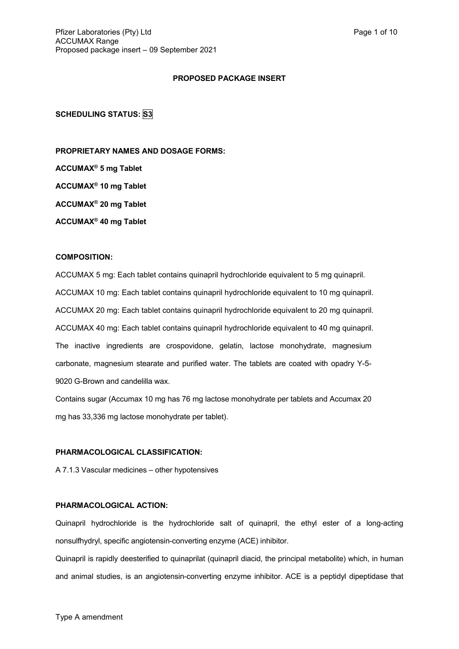# **PROPOSED PACKAGE INSERT**

**SCHEDULING STATUS: S3**

**PROPRIETARY NAMES AND DOSAGE FORMS:**

**ACCUMAX® 5 mg Tablet**

**ACCUMAX® 10 mg Tablet**

**ACCUMAX® 20 mg Tablet**

**ACCUMAX® 40 mg Tablet**

# **COMPOSITION:**

ACCUMAX 5 mg: Each tablet contains quinapril hydrochloride equivalent to 5 mg quinapril. ACCUMAX 10 mg: Each tablet contains quinapril hydrochloride equivalent to 10 mg quinapril. ACCUMAX 20 mg: Each tablet contains quinapril hydrochloride equivalent to 20 mg quinapril. ACCUMAX 40 mg: Each tablet contains quinapril hydrochloride equivalent to 40 mg quinapril. The inactive ingredients are crospovidone, gelatin, lactose monohydrate, magnesium carbonate, magnesium stearate and purified water. The tablets are coated with opadry Y-5- 9020 G-Brown and candelilla wax.

Contains sugar (Accumax 10 mg has 76 mg lactose monohydrate per tablets and Accumax 20 mg has 33,336 mg lactose monohydrate per tablet).

## **PHARMACOLOGICAL CLASSIFICATION:**

A 7.1.3 Vascular medicines – other hypotensives

# **PHARMACOLOGICAL ACTION:**

Quinapril hydrochloride is the hydrochloride salt of quinapril, the ethyl ester of a long-acting nonsulfhydryl, specific angiotensin-converting enzyme (ACE) inhibitor.

Quinapril is rapidly deesterified to quinaprilat (quinapril diacid, the principal metabolite) which, in human and animal studies, is an angiotensin-converting enzyme inhibitor. ACE is a peptidyl dipeptidase that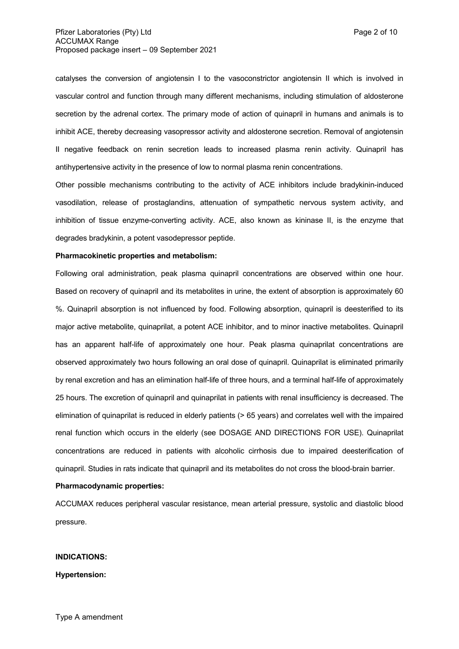catalyses the conversion of angiotensin I to the vasoconstrictor angiotensin II which is involved in vascular control and function through many different mechanisms, including stimulation of aldosterone secretion by the adrenal cortex. The primary mode of action of quinapril in humans and animals is to inhibit ACE, thereby decreasing vasopressor activity and aldosterone secretion. Removal of angiotensin II negative feedback on renin secretion leads to increased plasma renin activity. Quinapril has antihypertensive activity in the presence of low to normal plasma renin concentrations.

Other possible mechanisms contributing to the activity of ACE inhibitors include bradykinin-induced vasodilation, release of prostaglandins, attenuation of sympathetic nervous system activity, and inhibition of tissue enzyme-converting activity. ACE, also known as kininase II, is the enzyme that degrades bradykinin, a potent vasodepressor peptide.

#### **Pharmacokinetic properties and metabolism:**

Following oral administration, peak plasma quinapril concentrations are observed within one hour. Based on recovery of quinapril and its metabolites in urine, the extent of absorption is approximately 60 %. Quinapril absorption is not influenced by food. Following absorption, quinapril is deesterified to its major active metabolite, quinaprilat, a potent ACE inhibitor, and to minor inactive metabolites. Quinapril has an apparent half-life of approximately one hour. Peak plasma quinaprilat concentrations are observed approximately two hours following an oral dose of quinapril. Quinaprilat is eliminated primarily by renal excretion and has an elimination half-life of three hours, and a terminal half-life of approximately 25 hours. The excretion of quinapril and quinaprilat in patients with renal insufficiency is decreased. The elimination of quinaprilat is reduced in elderly patients (> 65 years) and correlates well with the impaired renal function which occurs in the elderly (see DOSAGE AND DIRECTIONS FOR USE). Quinaprilat concentrations are reduced in patients with alcoholic cirrhosis due to impaired deesterification of quinapril. Studies in rats indicate that quinapril and its metabolites do not cross the blood-brain barrier.

#### **Pharmacodynamic properties:**

ACCUMAX reduces peripheral vascular resistance, mean arterial pressure, systolic and diastolic blood pressure.

## **INDICATIONS:**

**Hypertension:**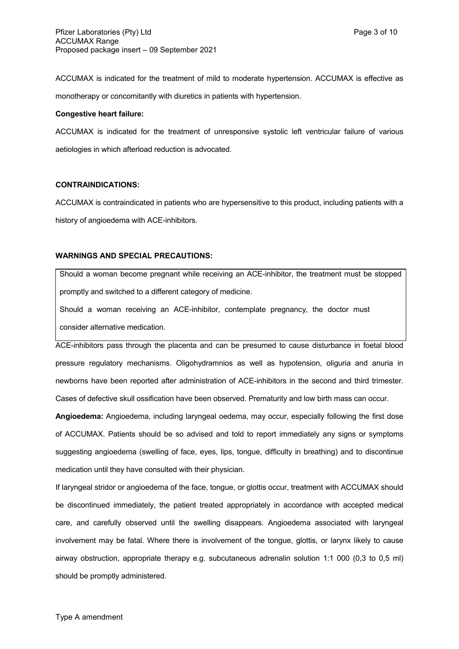ACCUMAX is indicated for the treatment of mild to moderate hypertension. ACCUMAX is effective as monotherapy or concomitantly with diuretics in patients with hypertension.

### **Congestive heart failure:**

ACCUMAX is indicated for the treatment of unresponsive systolic left ventricular failure of various aetiologies in which afterload reduction is advocated.

# **CONTRAINDICATIONS:**

ACCUMAX is contraindicated in patients who are hypersensitive to this product, including patients with a history of angioedema with ACE-inhibitors.

# **WARNINGS AND SPECIAL PRECAUTIONS:**

Should a woman become pregnant while receiving an ACE-inhibitor, the treatment must be stopped promptly and switched to a different category of medicine.

Should a woman receiving an ACE-inhibitor, contemplate pregnancy, the doctor must consider alternative medication.

ACE-inhibitors pass through the placenta and can be presumed to cause disturbance in foetal blood pressure regulatory mechanisms. Oligohydramnios as well as hypotension, oliguria and anuria in newborns have been reported after administration of ACE-inhibitors in the second and third trimester. Cases of defective skull ossification have been observed. Prematurity and low birth mass can occur.

**Angioedema:** Angioedema, including laryngeal oedema, may occur, especially following the first dose of ACCUMAX. Patients should be so advised and told to report immediately any signs or symptoms suggesting angioedema (swelling of face, eyes, lips, tongue, difficulty in breathing) and to discontinue medication until they have consulted with their physician.

If laryngeal stridor or angioedema of the face, tongue, or glottis occur, treatment with ACCUMAX should be discontinued immediately, the patient treated appropriately in accordance with accepted medical care, and carefully observed until the swelling disappears. Angioedema associated with laryngeal involvement may be fatal. Where there is involvement of the tongue, glottis, or larynx likely to cause airway obstruction, appropriate therapy e.g. subcutaneous adrenalin solution 1:1 000 (0,3 to 0,5 ml) should be promptly administered.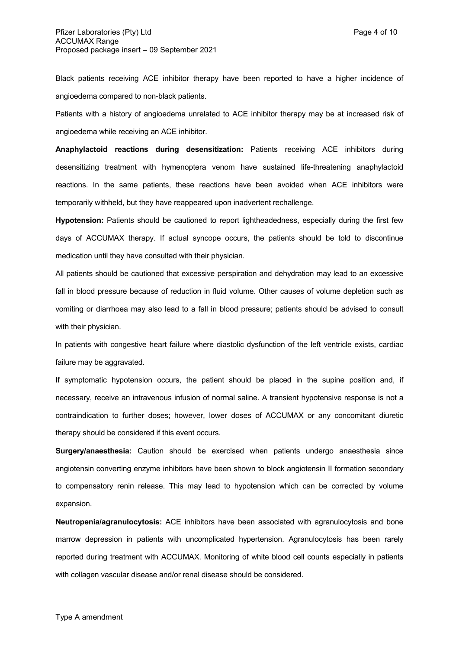Black patients receiving ACE inhibitor therapy have been reported to have a higher incidence of angioedema compared to non-black patients.

Patients with a history of angioedema unrelated to ACE inhibitor therapy may be at increased risk of angioedema while receiving an ACE inhibitor.

**Anaphylactoid reactions during desensitization:** Patients receiving ACE inhibitors during desensitizing treatment with hymenoptera venom have sustained life-threatening anaphylactoid reactions. In the same patients, these reactions have been avoided when ACE inhibitors were temporarily withheld, but they have reappeared upon inadvertent rechallenge.

**Hypotension:** Patients should be cautioned to report lightheadedness, especially during the first few days of ACCUMAX therapy. If actual syncope occurs, the patients should be told to discontinue medication until they have consulted with their physician.

All patients should be cautioned that excessive perspiration and dehydration may lead to an excessive fall in blood pressure because of reduction in fluid volume. Other causes of volume depletion such as vomiting or diarrhoea may also lead to a fall in blood pressure; patients should be advised to consult with their physician.

In patients with congestive heart failure where diastolic dysfunction of the left ventricle exists, cardiac failure may be aggravated.

If symptomatic hypotension occurs, the patient should be placed in the supine position and, if necessary, receive an intravenous infusion of normal saline. A transient hypotensive response is not a contraindication to further doses; however, lower doses of ACCUMAX or any concomitant diuretic therapy should be considered if this event occurs.

**Surgery/anaesthesia:** Caution should be exercised when patients undergo anaesthesia since angiotensin converting enzyme inhibitors have been shown to block angiotensin II formation secondary to compensatory renin release. This may lead to hypotension which can be corrected by volume expansion.

**Neutropenia/agranulocytosis:** ACE inhibitors have been associated with agranulocytosis and bone marrow depression in patients with uncomplicated hypertension. Agranulocytosis has been rarely reported during treatment with ACCUMAX. Monitoring of white blood cell counts especially in patients with collagen vascular disease and/or renal disease should be considered.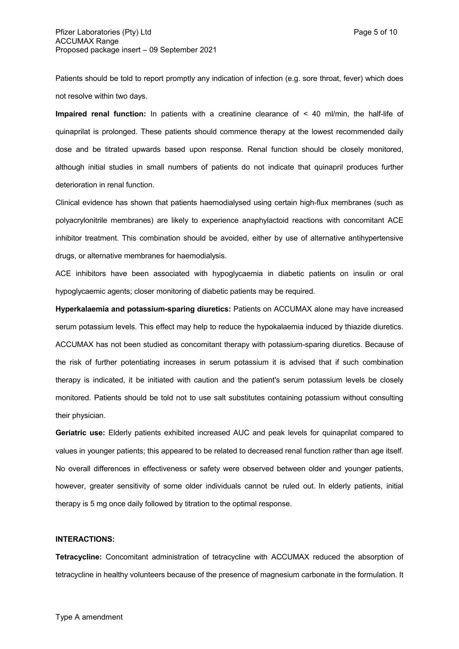Patients should be told to report promptly any indication of infection (e.g. sore throat, fever) which does not resolve within two days.

**Impaired renal function:** In patients with a creatinine clearance of < 40 ml/min, the half-life of quinaprilat is prolonged. These patients should commence therapy at the lowest recommended daily dose and be titrated upwards based upon response. Renal function should be closely monitored, although initial studies in small numbers of patients do not indicate that quinapril produces further deterioration in renal function.

Clinical evidence has shown that patients haemodialysed using certain high-flux membranes (such as polyacrylonitrile membranes) are likely to experience anaphylactoid reactions with concomitant ACE inhibitor treatment. This combination should be avoided, either by use of alternative antihypertensive drugs, or alternative membranes for haemodialysis.

ACE inhibitors have been associated with hypoglycaemia in diabetic patients on insulin or oral hypoglycaemic agents; closer monitoring of diabetic patients may be required.

**Hyperkalaemia and potassium-sparing diuretics:** Patients on ACCUMAX alone may have increased serum potassium levels. This effect may help to reduce the hypokalaemia induced by thiazide diuretics. ACCUMAX has not been studied as concomitant therapy with potassium-sparing diuretics. Because of the risk of further potentiating increases in serum potassium it is advised that if such combination therapy is indicated, it be initiated with caution and the patient's serum potassium levels be closely monitored. Patients should be told not to use salt substitutes containing potassium without consulting their physician.

**Geriatric use:** Elderly patients exhibited increased AUC and peak levels for quinaprilat compared to values in younger patients; this appeared to be related to decreased renal function rather than age itself. No overall differences in effectiveness or safety were observed between older and younger patients, however, greater sensitivity of some older individuals cannot be ruled out. In elderly patients, initial therapy is 5 mg once daily followed by titration to the optimal response.

### **INTERACTIONS:**

**Tetracycline:** Concomitant administration of tetracycline with ACCUMAX reduced the absorption of tetracycline in healthy volunteers because of the presence of magnesium carbonate in the formulation. It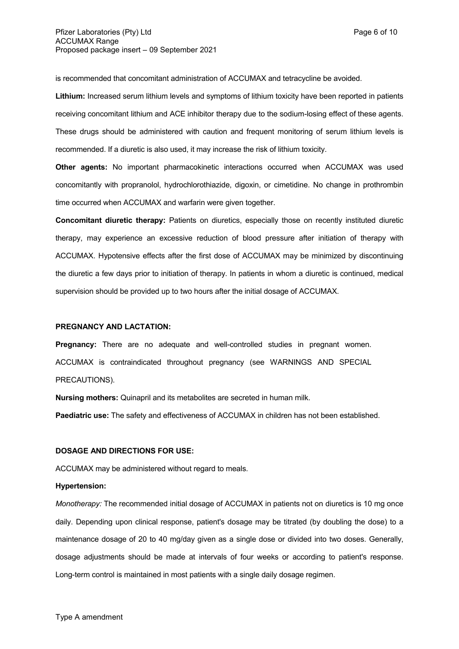is recommended that concomitant administration of ACCUMAX and tetracycline be avoided.

**Lithium:** Increased serum lithium levels and symptoms of lithium toxicity have been reported in patients receiving concomitant lithium and ACE inhibitor therapy due to the sodium-losing effect of these agents. These drugs should be administered with caution and frequent monitoring of serum lithium levels is recommended. If a diuretic is also used, it may increase the risk of lithium toxicity.

**Other agents:** No important pharmacokinetic interactions occurred when ACCUMAX was used concomitantly with propranolol, hydrochlorothiazide, digoxin, or cimetidine. No change in prothrombin time occurred when ACCUMAX and warfarin were given together.

**Concomitant diuretic therapy:** Patients on diuretics, especially those on recently instituted diuretic therapy, may experience an excessive reduction of blood pressure after initiation of therapy with ACCUMAX. Hypotensive effects after the first dose of ACCUMAX may be minimized by discontinuing the diuretic a few days prior to initiation of therapy. In patients in whom a diuretic is continued, medical supervision should be provided up to two hours after the initial dosage of ACCUMAX.

#### **PREGNANCY AND LACTATION:**

**Pregnancy:** There are no adequate and well-controlled studies in pregnant women. ACCUMAX is contraindicated throughout pregnancy (see WARNINGS AND SPECIAL PRECAUTIONS).

**Nursing mothers:** Quinapril and its metabolites are secreted in human milk.

**Paediatric use:** The safety and effectiveness of ACCUMAX in children has not been established.

## **DOSAGE AND DIRECTIONS FOR USE:**

ACCUMAX may be administered without regard to meals.

#### **Hypertension:**

*Monotherapy:* The recommended initial dosage of ACCUMAX in patients not on diuretics is 10 mg once daily. Depending upon clinical response, patient's dosage may be titrated (by doubling the dose) to a maintenance dosage of 20 to 40 mg/day given as a single dose or divided into two doses. Generally, dosage adjustments should be made at intervals of four weeks or according to patient's response. Long-term control is maintained in most patients with a single daily dosage regimen.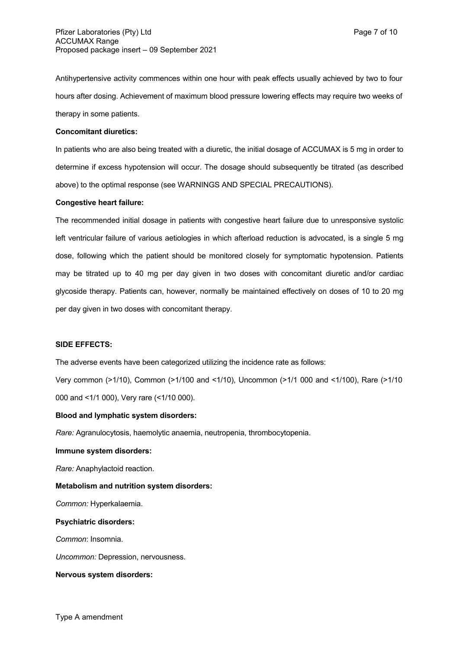Antihypertensive activity commences within one hour with peak effects usually achieved by two to four hours after dosing. Achievement of maximum blood pressure lowering effects may require two weeks of therapy in some patients.

#### **Concomitant diuretics:**

In patients who are also being treated with a diuretic, the initial dosage of ACCUMAX is 5 mg in order to determine if excess hypotension will occur. The dosage should subsequently be titrated (as described above) to the optimal response (see WARNINGS AND SPECIAL PRECAUTIONS).

#### **Congestive heart failure:**

The recommended initial dosage in patients with congestive heart failure due to unresponsive systolic left ventricular failure of various aetiologies in which afterload reduction is advocated, is a single 5 mg dose, following which the patient should be monitored closely for symptomatic hypotension. Patients may be titrated up to 40 mg per day given in two doses with concomitant diuretic and/or cardiac glycoside therapy. Patients can, however, normally be maintained effectively on doses of 10 to 20 mg per day given in two doses with concomitant therapy.

#### **SIDE EFFECTS:**

The adverse events have been categorized utilizing the incidence rate as follows:

Very common (>1/10), Common (>1/100 and <1/10), Uncommon (>1/1 000 and <1/100), Rare (>1/10 000 and <1/1 000), Very rare (<1/10 000).

#### **Blood and lymphatic system disorders:**

*Rare:* Agranulocytosis, haemolytic anaemia, neutropenia, thrombocytopenia.

#### **Immune system disorders:**

*Rare:* Anaphylactoid reaction.

#### **Metabolism and nutrition system disorders:**

*Common:* Hyperkalaemia.

#### **Psychiatric disorders:**

*Common*: Insomnia.

*Uncommon:* Depression, nervousness.

#### **Nervous system disorders:**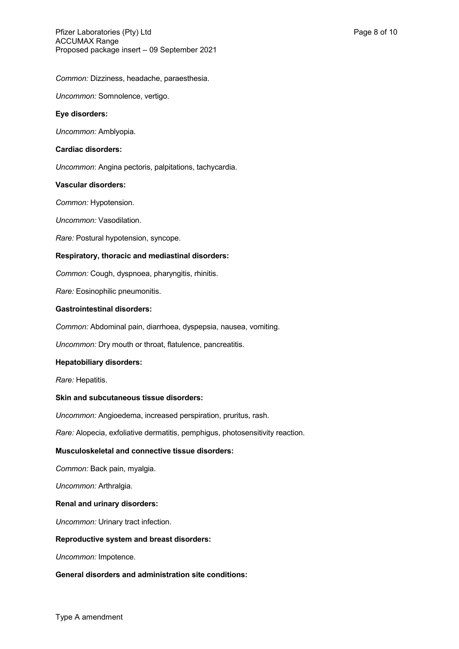*Common:* Dizziness, headache, paraesthesia.

*Uncommon:* Somnolence, vertigo.

## **Eye disorders:**

*Uncommon:* Amblyopia.

### **Cardiac disorders:**

*Uncommon*: Angina pectoris, palpitations, tachycardia.

#### **Vascular disorders:**

*Common:* Hypotension.

*Uncommon:* Vasodilation.

*Rare:* Postural hypotension, syncope.

## **Respiratory, thoracic and mediastinal disorders:**

*Common:* Cough, dyspnoea, pharyngitis, rhinitis.

*Rare:* Eosinophilic pneumonitis.

### **Gastrointestinal disorders:**

*Common:* Abdominal pain, diarrhoea, dyspepsia, nausea, vomiting.

*Uncommon:* Dry mouth or throat, flatulence, pancreatitis.

## **Hepatobiliary disorders:**

*Rare:* Hepatitis.

## **Skin and subcutaneous tissue disorders:**

*Uncommon:* Angioedema, increased perspiration, pruritus, rash.

*Rare:* Alopecia, exfoliative dermatitis, pemphigus, photosensitivity reaction.

## **Musculoskeletal and connective tissue disorders:**

*Common:* Back pain, myalgia.

*Uncommon:* Arthralgia.

#### **Renal and urinary disorders:**

*Uncommon:* Urinary tract infection.

#### **Reproductive system and breast disorders:**

*Uncommon:* Impotence.

# **General disorders and administration site conditions:**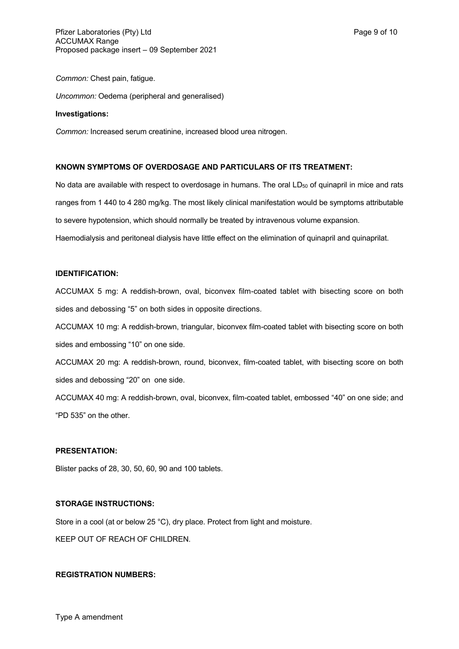*Common:* Chest pain, fatigue.

*Uncommon:* Oedema (peripheral and generalised)

#### **Investigations:**

*Common:* Increased serum creatinine, increased blood urea nitrogen.

## **KNOWN SYMPTOMS OF OVERDOSAGE AND PARTICULARS OF ITS TREATMENT:**

No data are available with respect to overdosage in humans. The oral  $LD_{50}$  of quinapril in mice and rats ranges from 1 440 to 4 280 mg/kg. The most likely clinical manifestation would be symptoms attributable to severe hypotension, which should normally be treated by intravenous volume expansion. Haemodialysis and peritoneal dialysis have little effect on the elimination of quinapril and quinaprilat.

# **IDENTIFICATION:**

ACCUMAX 5 mg: A reddish-brown, oval, biconvex film-coated tablet with bisecting score on both sides and debossing "5" on both sides in opposite directions.

ACCUMAX 10 mg: A reddish-brown, triangular, biconvex film-coated tablet with bisecting score on both sides and embossing "10" on one side.

ACCUMAX 20 mg: A reddish-brown, round, biconvex, film-coated tablet, with bisecting score on both sides and debossing "20" on one side.

ACCUMAX 40 mg: A reddish-brown, oval, biconvex, film-coated tablet, embossed "40" on one side; and "PD 535" on the other.

## **PRESENTATION:**

Blister packs of 28, 30, 50, 60, 90 and 100 tablets.

## **STORAGE INSTRUCTIONS:**

Store in a cool (at or below 25 °C), dry place. Protect from light and moisture.

KEEP OUT OF REACH OF CHILDREN.

#### **REGISTRATION NUMBERS:**

Type A amendment